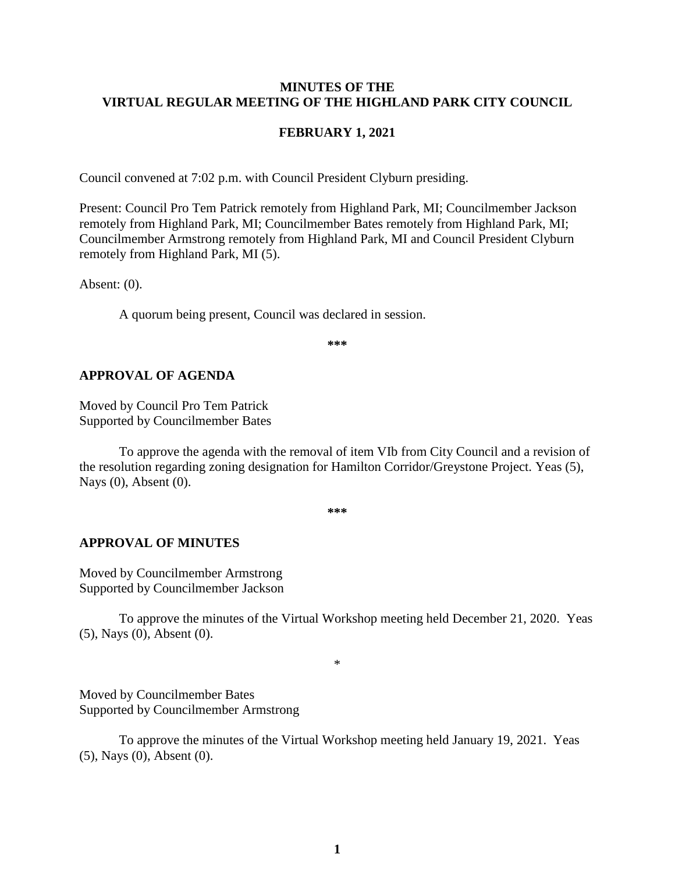#### **MINUTES OF THE VIRTUAL REGULAR MEETING OF THE HIGHLAND PARK CITY COUNCIL**

#### **FEBRUARY 1, 2021**

Council convened at 7:02 p.m. with Council President Clyburn presiding.

Present: Council Pro Tem Patrick remotely from Highland Park, MI; Councilmember Jackson remotely from Highland Park, MI; Councilmember Bates remotely from Highland Park, MI; Councilmember Armstrong remotely from Highland Park, MI and Council President Clyburn remotely from Highland Park, MI (5).

Absent: (0).

A quorum being present, Council was declared in session.

**\*\*\***

#### **APPROVAL OF AGENDA**

Moved by Council Pro Tem Patrick Supported by Councilmember Bates

To approve the agenda with the removal of item VIb from City Council and a revision of the resolution regarding zoning designation for Hamilton Corridor/Greystone Project. Yeas (5), Nays (0), Absent (0).

**\*\*\***

#### **APPROVAL OF MINUTES**

Moved by Councilmember Armstrong Supported by Councilmember Jackson

To approve the minutes of the Virtual Workshop meeting held December 21, 2020.Yeas (5), Nays (0), Absent (0).

\*

Moved by Councilmember Bates Supported by Councilmember Armstrong

To approve the minutes of the Virtual Workshop meeting held January 19, 2021.Yeas (5), Nays (0), Absent (0).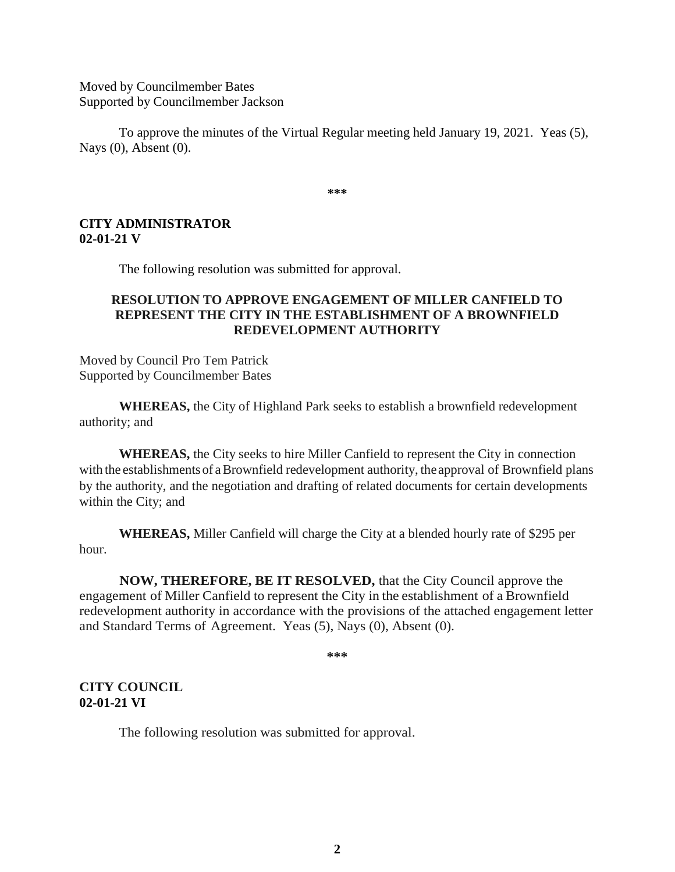Moved by Councilmember Bates Supported by Councilmember Jackson

To approve the minutes of the Virtual Regular meeting held January 19, 2021.Yeas (5), Nays (0), Absent (0).

**\*\*\***

## **CITY ADMINISTRATOR 02-01-21 V**

The following resolution was submitted for approval.

# **RESOLUTION TO APPROVE ENGAGEMENT OF MILLER CANFIELD TO REPRESENT THE CITY IN THE ESTABLISHMENT OF A BROWNFIELD REDEVELOPMENT AUTHORITY**

Moved by Council Pro Tem Patrick Supported by Councilmember Bates

**WHEREAS,** the City of Highland Park seeks to establish a brownfield redevelopment authority; and

**WHEREAS,** the City seeks to hire Miller Canfield to represent the City in connection with the establishments of a Brownfield redevelopment authority, the approval of Brownfield plans by the authority, and the negotiation and drafting of related documents for certain developments within the City; and

**WHEREAS,** Miller Canfield will charge the City at a blended hourly rate of \$295 per hour.

**NOW, THEREFORE, BE IT RESOLVED,** that the City Council approve the engagement of Miller Canfield to represent the City in the establishment of a Brownfield redevelopment authority in accordance with the provisions of the attached engagement letter and Standard Terms of Agreement. Yeas (5), Nays (0), Absent (0).

**\*\*\***

**CITY COUNCIL 02-01-21 VI** 

The following resolution was submitted for approval.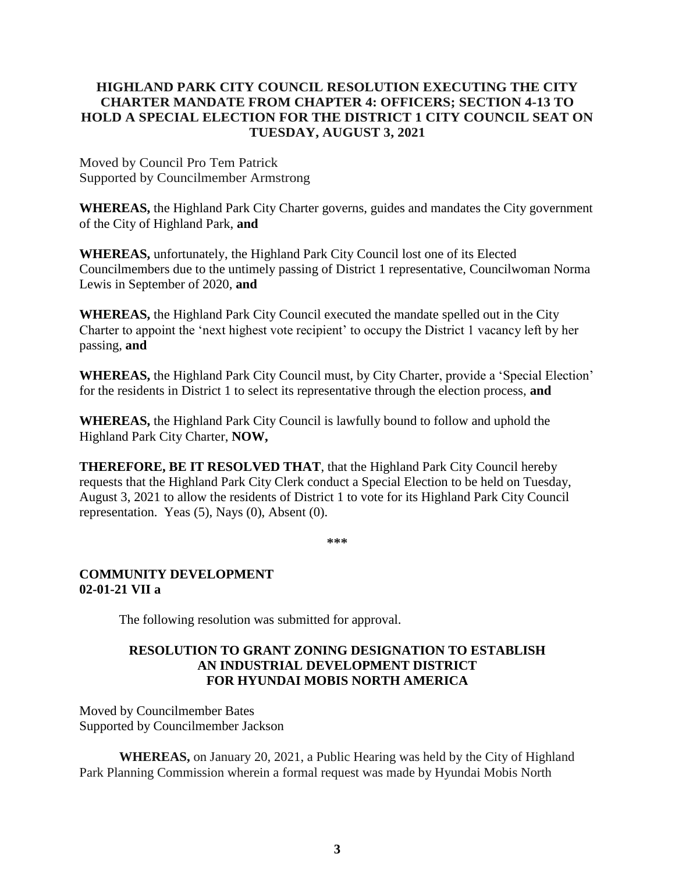# **HIGHLAND PARK CITY COUNCIL RESOLUTION EXECUTING THE CITY CHARTER MANDATE FROM CHAPTER 4: OFFICERS; SECTION 4-13 TO HOLD A SPECIAL ELECTION FOR THE DISTRICT 1 CITY COUNCIL SEAT ON TUESDAY, AUGUST 3, 2021**

Moved by Council Pro Tem Patrick Supported by Councilmember Armstrong

**WHEREAS,** the Highland Park City Charter governs, guides and mandates the City government of the City of Highland Park, **and**

**WHEREAS,** unfortunately, the Highland Park City Council lost one of its Elected Councilmembers due to the untimely passing of District 1 representative, Councilwoman Norma Lewis in September of 2020, **and**

**WHEREAS,** the Highland Park City Council executed the mandate spelled out in the City Charter to appoint the 'next highest vote recipient' to occupy the District 1 vacancy left by her passing, **and**

**WHEREAS,** the Highland Park City Council must, by City Charter, provide a 'Special Election' for the residents in District 1 to select its representative through the election process, **and**

**WHEREAS,** the Highland Park City Council is lawfully bound to follow and uphold the Highland Park City Charter, **NOW,**

**THEREFORE, BE IT RESOLVED THAT**, that the Highland Park City Council hereby requests that the Highland Park City Clerk conduct a Special Election to be held on Tuesday, August 3, 2021 to allow the residents of District 1 to vote for its Highland Park City Council representation. Yeas (5), Nays (0), Absent (0).

**\*\*\***

## **COMMUNITY DEVELOPMENT 02-01-21 VII a**

The following resolution was submitted for approval.

# **RESOLUTION TO GRANT ZONING DESIGNATION TO ESTABLISH AN INDUSTRIAL DEVELOPMENT DISTRICT FOR HYUNDAI MOBIS NORTH AMERICA**

Moved by Councilmember Bates Supported by Councilmember Jackson

**WHEREAS,** on January 20, 2021, a Public Hearing was held by the City of Highland Park Planning Commission wherein a formal request was made by Hyundai Mobis North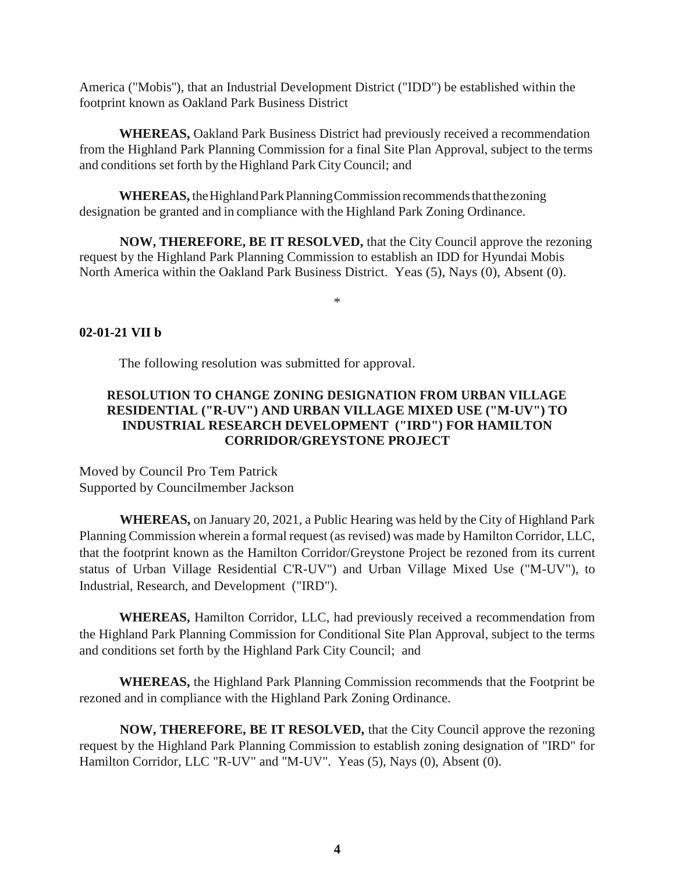America ("Mobis''), that an Industrial Development District ("IDD") be established within the footprint known as Oakland Park Business District

**WHEREAS,** Oakland Park Business District had previously received a recommendation from the Highland Park Planning Commission for a final Site Plan Approval, subject to the terms and conditions set forth by the Highland Park City Council; and

WHEREAS, the Highland Park Planning Commission recommends that the zoning designation be granted and in compliance with the Highland Park Zoning Ordinance.

**NOW, THEREFORE, BE IT RESOLVED,** that the City Council approve the rezoning request by the Highland Park Planning Commission to establish an IDD for Hyundai Mobis North America within the Oakland Park Business District. Yeas (5), Nays (0), Absent (0).

\*

## **02-01-21 VII b**

The following resolution was submitted for approval.

## **RESOLUTION TO CHANGE ZONING DESIGNATION FROM URBAN VILLAGE RESIDENTIAL ("R-UV") AND URBAN VILLAGE MIXED USE ("M-UV") TO INDUSTRIAL RESEARCH DEVELOPMENT ("IRD") FOR HAMILTON CORRIDOR/GREYSTONE PROJECT**

Moved by Council Pro Tem Patrick Supported by Councilmember Jackson

**WHEREAS,** on January 20, 2021, a Public Hearing was held by the City of Highland Park Planning Commission wherein a formal request (as revised) was made by Hamilton Corridor, LLC, that the footprint known as the Hamilton Corridor/Greystone Project be rezoned from its current status of Urban Village Residential C'R-UV") and Urban Village Mixed Use ("M-UV"), to Industrial, Research, and Development ("IRD").

**WHEREAS,** Hamilton Corridor, LLC, had previously received a recommendation from the Highland Park Planning Commission for Conditional Site Plan Approval, subject to the terms and conditions set forth by the Highland Park City Council; and

**WHEREAS,** the Highland Park Planning Commission recommends that the Footprint be rezoned and in compliance with the Highland Park Zoning Ordinance.

**NOW, THEREFORE, BE IT RESOLVED,** that the City Council approve the rezoning request by the Highland Park Planning Commission to establish zoning designation of "IRD" for Hamilton Corridor, LLC "R-UV" and "M-UV". Yeas (5), Nays (0), Absent (0).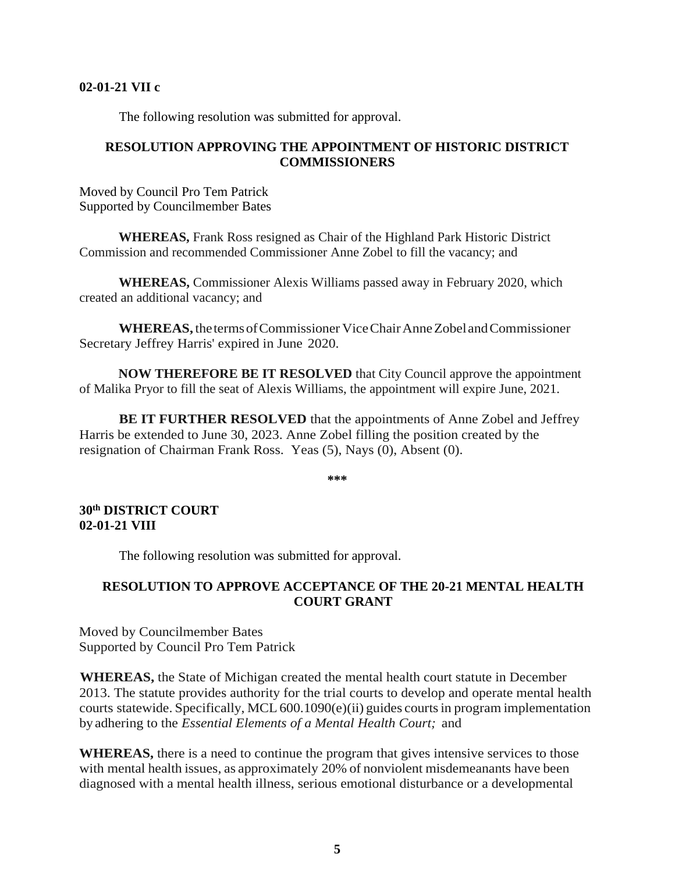#### **02-01-21 VII c**

The following resolution was submitted for approval.

## **RESOLUTION APPROVING THE APPOINTMENT OF HISTORIC DISTRICT COMMISSIONERS**

Moved by Council Pro Tem Patrick Supported by Councilmember Bates

**WHEREAS,** Frank Ross resigned as Chair of the Highland Park Historic District Commission and recommended Commissioner Anne Zobel to fill the vacancy; and

**WHEREAS,** Commissioner Alexis Williams passed away in February 2020, which created an additional vacancy; and

**WHEREAS,** thetermsofCommissioner ViceChairAnneZobelandCommissioner Secretary Jeffrey Harris' expired in June 2020.

**NOW THEREFORE BE IT RESOLVED** that City Council approve the appointment of Malika Pryor to fill the seat of Alexis Williams, the appointment will expire June, 2021.

**BE IT FURTHER RESOLVED** that the appointments of Anne Zobel and Jeffrey Harris be extended to June 30, 2023. Anne Zobel filling the position created by the resignation of Chairman Frank Ross. Yeas (5), Nays (0), Absent (0).

**\*\*\***

## **30th DISTRICT COURT 02-01-21 VIII**

The following resolution was submitted for approval.

## **RESOLUTION TO APPROVE ACCEPTANCE OF THE 20-21 MENTAL HEALTH COURT GRANT**

Moved by Councilmember Bates Supported by Council Pro Tem Patrick

**WHEREAS,** the State of Michigan created the mental health court statute in December 2013. The statute provides authority for the trial courts to develop and operate mental health courts statewide. Specifically, MCL600.1090(e)(ii) guides courtsin program implementation byadhering to the *Essential Elements of a Mental Health Court;* and

**WHEREAS,** there is a need to continue the program that gives intensive services to those with mental health issues, as approximately 20% of nonviolent misdemeanants have been diagnosed with a mental health illness, serious emotional disturbance or a developmental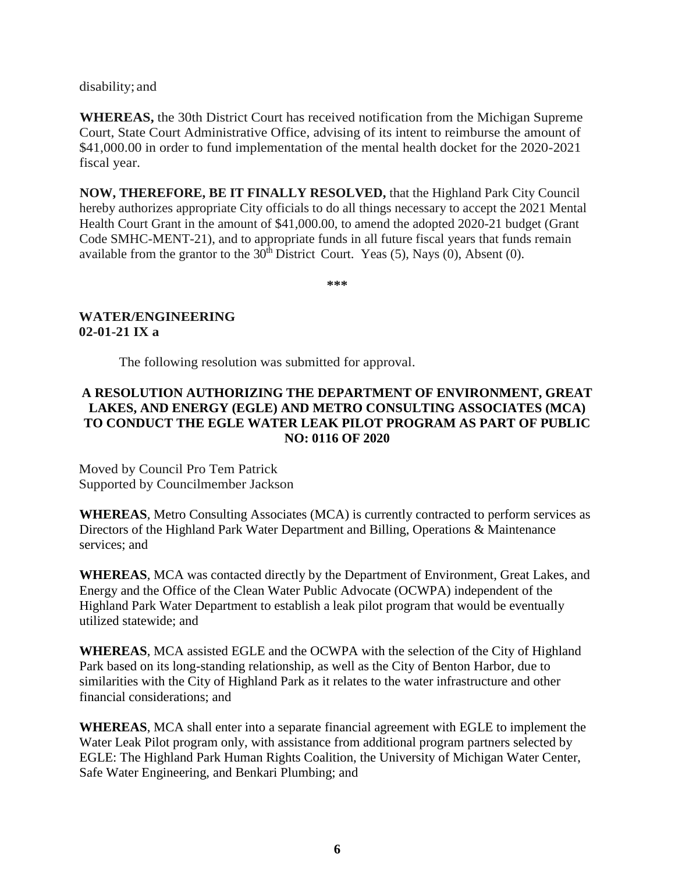disability; and

**WHEREAS,** the 30th District Court has received notification from the Michigan Supreme Court, State Court Administrative Office, advising of its intent to reimburse the amount of \$41,000.00 in order to fund implementation of the mental health docket for the 2020-2021 fiscal year.

**NOW, THEREFORE, BE IT FINALLY RESOLVED,** that the Highland Park City Council hereby authorizes appropriate City officials to do all things necessary to accept the 2021 Mental Health Court Grant in the amount of \$41,000.00, to amend the adopted 2020-21 budget (Grant Code SMHC-MENT-21), and to appropriate funds in all future fiscal years that funds remain available from the grantor to the  $30<sup>th</sup>$  District Court. Yeas (5), Nays (0), Absent (0).

**\*\*\***

# **WATER/ENGINEERING 02-01-21 IX a**

The following resolution was submitted for approval.

# **A RESOLUTION AUTHORIZING THE DEPARTMENT OF ENVIRONMENT, GREAT LAKES, AND ENERGY (EGLE) AND METRO CONSULTING ASSOCIATES (MCA) TO CONDUCT THE EGLE WATER LEAK PILOT PROGRAM AS PART OF PUBLIC NO: 0116 OF 2020**

Moved by Council Pro Tem Patrick Supported by Councilmember Jackson

**WHEREAS**, Metro Consulting Associates (MCA) is currently contracted to perform services as Directors of the Highland Park Water Department and Billing, Operations & Maintenance services; and

**WHEREAS**, MCA was contacted directly by the Department of Environment, Great Lakes, and Energy and the Office of the Clean Water Public Advocate (OCWPA) independent of the Highland Park Water Department to establish a leak pilot program that would be eventually utilized statewide; and

**WHEREAS**, MCA assisted EGLE and the OCWPA with the selection of the City of Highland Park based on its long-standing relationship, as well as the City of Benton Harbor, due to similarities with the City of Highland Park as it relates to the water infrastructure and other financial considerations; and

**WHEREAS**, MCA shall enter into a separate financial agreement with EGLE to implement the Water Leak Pilot program only, with assistance from additional program partners selected by EGLE: The Highland Park Human Rights Coalition, the University of Michigan Water Center, Safe Water Engineering, and Benkari Plumbing; and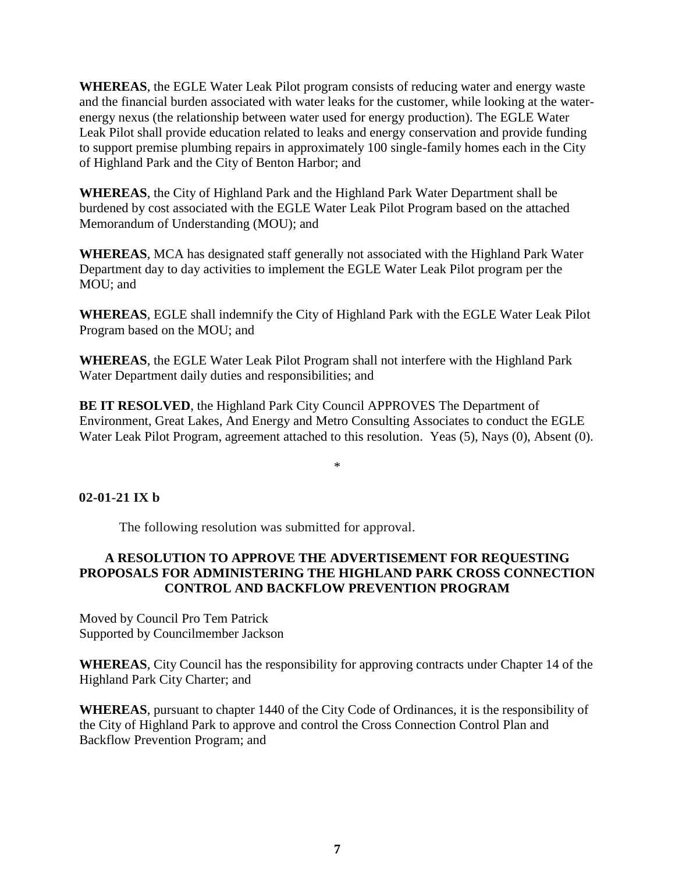**WHEREAS**, the EGLE Water Leak Pilot program consists of reducing water and energy waste and the financial burden associated with water leaks for the customer, while looking at the waterenergy nexus (the relationship between water used for energy production). The EGLE Water Leak Pilot shall provide education related to leaks and energy conservation and provide funding to support premise plumbing repairs in approximately 100 single-family homes each in the City of Highland Park and the City of Benton Harbor; and

**WHEREAS**, the City of Highland Park and the Highland Park Water Department shall be burdened by cost associated with the EGLE Water Leak Pilot Program based on the attached Memorandum of Understanding (MOU); and

**WHEREAS**, MCA has designated staff generally not associated with the Highland Park Water Department day to day activities to implement the EGLE Water Leak Pilot program per the MOU; and

**WHEREAS**, EGLE shall indemnify the City of Highland Park with the EGLE Water Leak Pilot Program based on the MOU; and

**WHEREAS**, the EGLE Water Leak Pilot Program shall not interfere with the Highland Park Water Department daily duties and responsibilities; and

**BE IT RESOLVED**, the Highland Park City Council APPROVES The Department of Environment, Great Lakes, And Energy and Metro Consulting Associates to conduct the EGLE Water Leak Pilot Program, agreement attached to this resolution. Yeas (5), Nays (0), Absent (0).

\*

**02-01-21 IX b**

The following resolution was submitted for approval.

# **A RESOLUTION TO APPROVE THE ADVERTISEMENT FOR REQUESTING PROPOSALS FOR ADMINISTERING THE HIGHLAND PARK CROSS CONNECTION CONTROL AND BACKFLOW PREVENTION PROGRAM**

Moved by Council Pro Tem Patrick Supported by Councilmember Jackson

**WHEREAS**, City Council has the responsibility for approving contracts under Chapter 14 of the Highland Park City Charter; and

**WHEREAS**, pursuant to chapter 1440 of the City Code of Ordinances, it is the responsibility of the City of Highland Park to approve and control the Cross Connection Control Plan and Backflow Prevention Program; and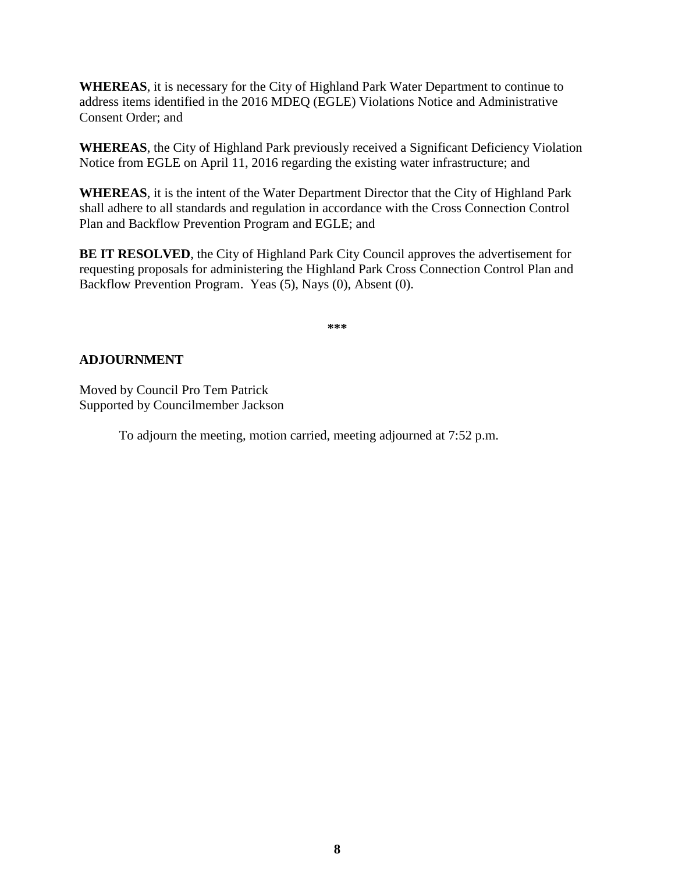**WHEREAS**, it is necessary for the City of Highland Park Water Department to continue to address items identified in the 2016 MDEQ (EGLE) Violations Notice and Administrative Consent Order; and

**WHEREAS**, the City of Highland Park previously received a Significant Deficiency Violation Notice from EGLE on April 11, 2016 regarding the existing water infrastructure; and

**WHEREAS**, it is the intent of the Water Department Director that the City of Highland Park shall adhere to all standards and regulation in accordance with the Cross Connection Control Plan and Backflow Prevention Program and EGLE; and

**BE IT RESOLVED**, the City of Highland Park City Council approves the advertisement for requesting proposals for administering the Highland Park Cross Connection Control Plan and Backflow Prevention Program. Yeas (5), Nays (0), Absent (0).

**\*\*\***

# **ADJOURNMENT**

Moved by Council Pro Tem Patrick Supported by Councilmember Jackson

To adjourn the meeting, motion carried, meeting adjourned at 7:52 p.m.